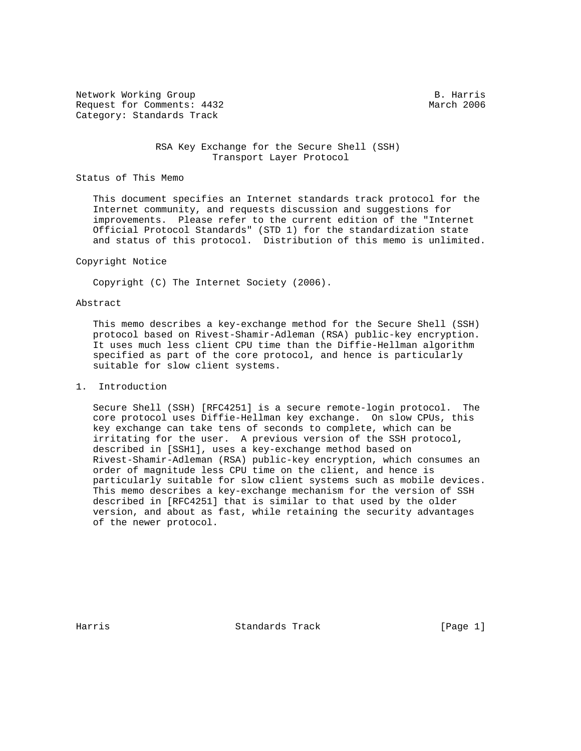Network Working Group B. Harris Request for Comments: 4432 March 2006 Category: Standards Track

 RSA Key Exchange for the Secure Shell (SSH) Transport Layer Protocol

Status of This Memo

 This document specifies an Internet standards track protocol for the Internet community, and requests discussion and suggestions for improvements. Please refer to the current edition of the "Internet Official Protocol Standards" (STD 1) for the standardization state and status of this protocol. Distribution of this memo is unlimited.

#### Copyright Notice

Copyright (C) The Internet Society (2006).

### Abstract

 This memo describes a key-exchange method for the Secure Shell (SSH) protocol based on Rivest-Shamir-Adleman (RSA) public-key encryption. It uses much less client CPU time than the Diffie-Hellman algorithm specified as part of the core protocol, and hence is particularly suitable for slow client systems.

## 1. Introduction

 Secure Shell (SSH) [RFC4251] is a secure remote-login protocol. The core protocol uses Diffie-Hellman key exchange. On slow CPUs, this key exchange can take tens of seconds to complete, which can be irritating for the user. A previous version of the SSH protocol, described in [SSH1], uses a key-exchange method based on Rivest-Shamir-Adleman (RSA) public-key encryption, which consumes an order of magnitude less CPU time on the client, and hence is particularly suitable for slow client systems such as mobile devices. This memo describes a key-exchange mechanism for the version of SSH described in [RFC4251] that is similar to that used by the older version, and about as fast, while retaining the security advantages of the newer protocol.

Harris Standards Track [Page 1]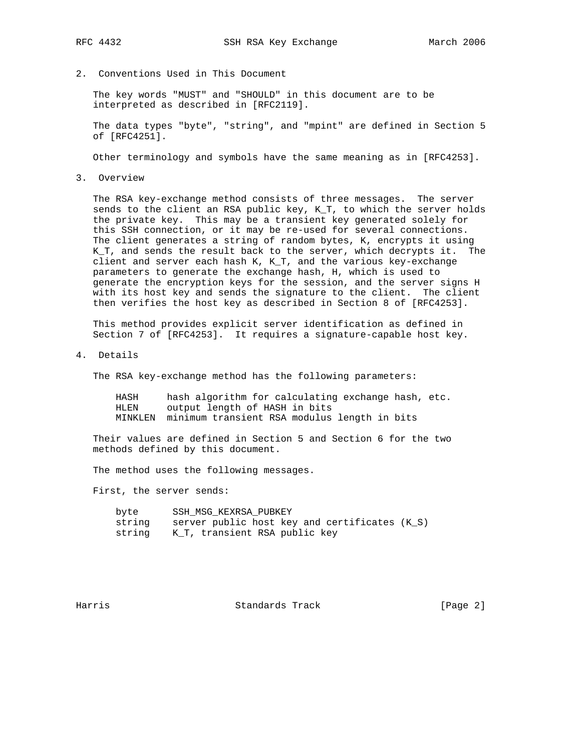2. Conventions Used in This Document

 The key words "MUST" and "SHOULD" in this document are to be interpreted as described in [RFC2119].

 The data types "byte", "string", and "mpint" are defined in Section 5 of [RFC4251].

Other terminology and symbols have the same meaning as in [RFC4253].

3. Overview

 The RSA key-exchange method consists of three messages. The server sends to the client an RSA public key, K\_T, to which the server holds the private key. This may be a transient key generated solely for this SSH connection, or it may be re-used for several connections. The client generates a string of random bytes, K, encrypts it using K\_T, and sends the result back to the server, which decrypts it. The client and server each hash K, K\_T, and the various key-exchange parameters to generate the exchange hash, H, which is used to generate the encryption keys for the session, and the server signs H with its host key and sends the signature to the client. The client then verifies the host key as described in Section 8 of [RFC4253].

 This method provides explicit server identification as defined in Section 7 of [RFC4253]. It requires a signature-capable host key.

4. Details

The RSA key-exchange method has the following parameters:

 HASH hash algorithm for calculating exchange hash, etc. HLEN output length of HASH in bits MINKLEN minimum transient RSA modulus length in bits

 Their values are defined in Section 5 and Section 6 for the two methods defined by this document.

The method uses the following messages.

First, the server sends:

| byte   | SSH MSG KEXRSA PUBKEY                         |
|--------|-----------------------------------------------|
| string | server public host key and certificates (K S) |
|        | string K T, transient RSA public key          |

Harris Standards Track [Page 2]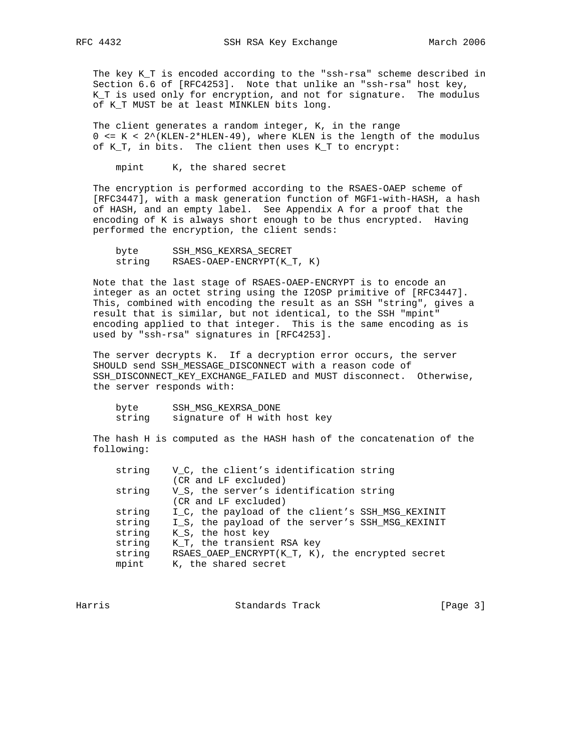The key K\_T is encoded according to the "ssh-rsa" scheme described in Section 6.6 of [RFC4253]. Note that unlike an "ssh-rsa" host key, K\_T is used only for encryption, and not for signature. The modulus of K T MUST be at least MINKLEN bits long.

 The client generates a random integer, K, in the range 0 <= K < 2^(KLEN-2\*HLEN-49), where KLEN is the length of the modulus of K\_T, in bits. The client then uses K\_T to encrypt:

mpint K, the shared secret

 The encryption is performed according to the RSAES-OAEP scheme of [RFC3447], with a mask generation function of MGF1-with-HASH, a hash of HASH, and an empty label. See Appendix A for a proof that the encoding of K is always short enough to be thus encrypted. Having performed the encryption, the client sends:

| byte   | SSH MSG KEXRSA SECRET     |
|--------|---------------------------|
| string | RSAES-OAEP-ENCRYPT(KT, K) |

 Note that the last stage of RSAES-OAEP-ENCRYPT is to encode an integer as an octet string using the I2OSP primitive of [RFC3447]. This, combined with encoding the result as an SSH "string", gives a result that is similar, but not identical, to the SSH "mpint" encoding applied to that integer. This is the same encoding as is used by "ssh-rsa" signatures in [RFC4253].

 The server decrypts K. If a decryption error occurs, the server SHOULD send SSH\_MESSAGE\_DISCONNECT with a reason code of SSH\_DISCONNECT\_KEY\_EXCHANGE\_FAILED and MUST disconnect. Otherwise, the server responds with:

| byte   | SSH MSG KEXRSA DONE          |  |  |
|--------|------------------------------|--|--|
| string | signature of H with host key |  |  |

 The hash H is computed as the HASH hash of the concatenation of the following:

| string | V_C, the client's identification string          |
|--------|--------------------------------------------------|
|        | (CR and LF excluded)                             |
| string | V_S, the server's identification string          |
|        | (CR and LF excluded)                             |
| string | I_C, the payload of the client's SSH_MSG_KEXINIT |
| string | I_S, the payload of the server's SSH_MSG_KEXINIT |
| string | K S, the host key                                |
| string | K_T, the transient RSA key                       |
| string | RSAES_OAEP_ENCRYPT(K_T, K), the encrypted secret |
| mpint  | K, the shared secret                             |

Harris Standards Track [Page 3]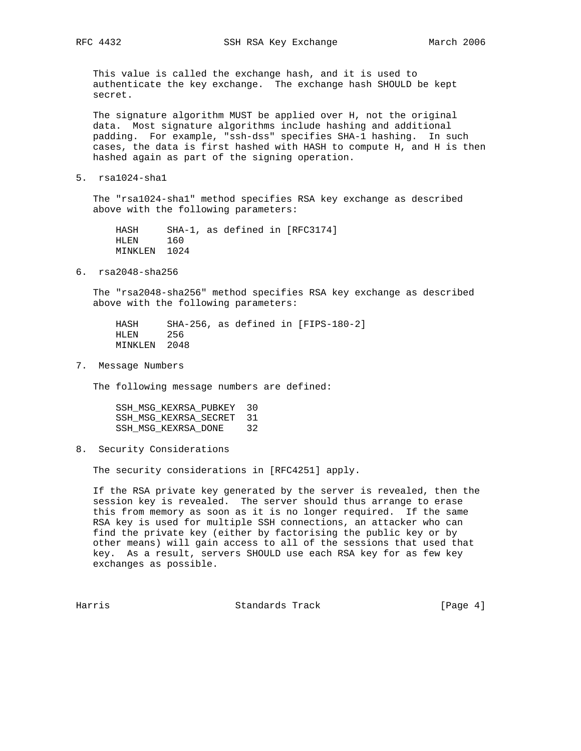This value is called the exchange hash, and it is used to authenticate the key exchange. The exchange hash SHOULD be kept secret.

 The signature algorithm MUST be applied over H, not the original data. Most signature algorithms include hashing and additional padding. For example, "ssh-dss" specifies SHA-1 hashing. In such cases, the data is first hashed with HASH to compute H, and H is then hashed again as part of the signing operation.

5. rsa1024-sha1

 The "rsa1024-sha1" method specifies RSA key exchange as described above with the following parameters:

 HASH SHA-1, as defined in [RFC3174] HLEN 160 MINKLEN 1024

6. rsa2048-sha256

 The "rsa2048-sha256" method specifies RSA key exchange as described above with the following parameters:

 HASH SHA-256, as defined in [FIPS-180-2] HLEN 256 MINKLEN 2048

7. Message Numbers

The following message numbers are defined:

 SSH\_MSG\_KEXRSA\_PUBKEY 30 SSH\_MSG\_KEXRSA\_SECRET 31 SSH\_MSG\_KEXRSA\_DONE 32

8. Security Considerations

The security considerations in [RFC4251] apply.

 If the RSA private key generated by the server is revealed, then the session key is revealed. The server should thus arrange to erase this from memory as soon as it is no longer required. If the same RSA key is used for multiple SSH connections, an attacker who can find the private key (either by factorising the public key or by other means) will gain access to all of the sessions that used that key. As a result, servers SHOULD use each RSA key for as few key exchanges as possible.

Harris Standards Track [Page 4]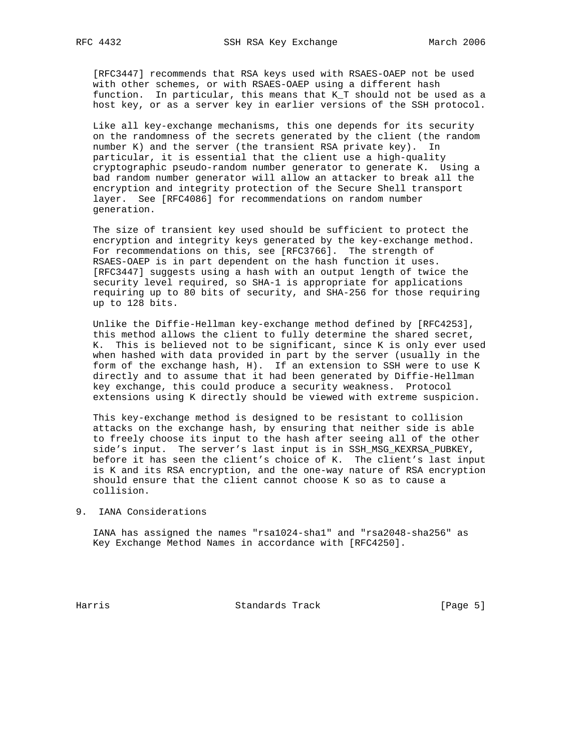[RFC3447] recommends that RSA keys used with RSAES-OAEP not be used with other schemes, or with RSAES-OAEP using a different hash function. In particular, this means that K\_T should not be used as a host key, or as a server key in earlier versions of the SSH protocol.

 Like all key-exchange mechanisms, this one depends for its security on the randomness of the secrets generated by the client (the random number K) and the server (the transient RSA private key). In particular, it is essential that the client use a high-quality cryptographic pseudo-random number generator to generate K. Using a bad random number generator will allow an attacker to break all the encryption and integrity protection of the Secure Shell transport layer. See [RFC4086] for recommendations on random number generation.

 The size of transient key used should be sufficient to protect the encryption and integrity keys generated by the key-exchange method. For recommendations on this, see [RFC3766]. The strength of RSAES-OAEP is in part dependent on the hash function it uses. [RFC3447] suggests using a hash with an output length of twice the security level required, so SHA-1 is appropriate for applications requiring up to 80 bits of security, and SHA-256 for those requiring up to 128 bits.

 Unlike the Diffie-Hellman key-exchange method defined by [RFC4253], this method allows the client to fully determine the shared secret, K. This is believed not to be significant, since K is only ever used when hashed with data provided in part by the server (usually in the form of the exchange hash, H). If an extension to SSH were to use K directly and to assume that it had been generated by Diffie-Hellman key exchange, this could produce a security weakness. Protocol extensions using K directly should be viewed with extreme suspicion.

 This key-exchange method is designed to be resistant to collision attacks on the exchange hash, by ensuring that neither side is able to freely choose its input to the hash after seeing all of the other side's input. The server's last input is in SSH\_MSG\_KEXRSA\_PUBKEY, before it has seen the client's choice of K. The client's last input is K and its RSA encryption, and the one-way nature of RSA encryption should ensure that the client cannot choose K so as to cause a collision.

# 9. IANA Considerations

 IANA has assigned the names "rsa1024-sha1" and "rsa2048-sha256" as Key Exchange Method Names in accordance with [RFC4250].

Harris **Example 28** Standards Track **Example 28** [Page 5]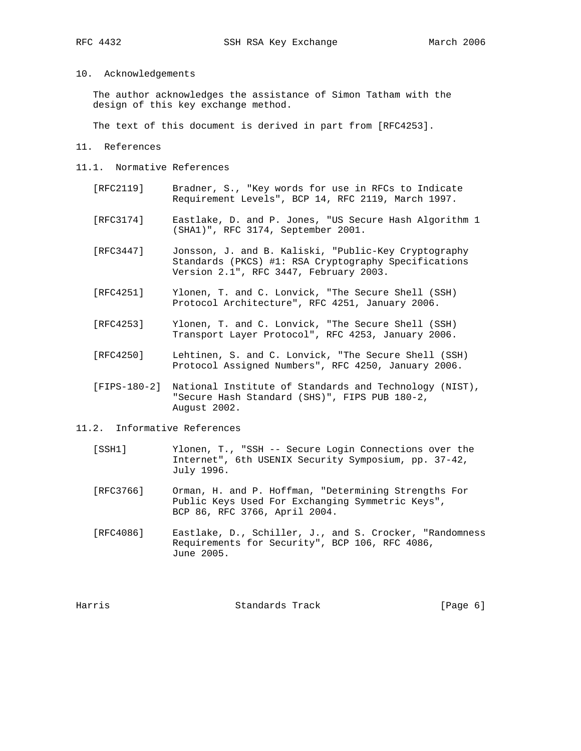# 10. Acknowledgements

 The author acknowledges the assistance of Simon Tatham with the design of this key exchange method.

The text of this document is derived in part from [RFC4253].

#### 11. References

- 11.1. Normative References
	- [RFC2119] Bradner, S., "Key words for use in RFCs to Indicate Requirement Levels", BCP 14, RFC 2119, March 1997.
	- [RFC3174] Eastlake, D. and P. Jones, "US Secure Hash Algorithm 1 (SHA1)", RFC 3174, September 2001.
	- [RFC3447] Jonsson, J. and B. Kaliski, "Public-Key Cryptography Standards (PKCS) #1: RSA Cryptography Specifications Version 2.1", RFC 3447, February 2003.
	- [RFC4251] Ylonen, T. and C. Lonvick, "The Secure Shell (SSH) Protocol Architecture", RFC 4251, January 2006.
	- [RFC4253] Ylonen, T. and C. Lonvick, "The Secure Shell (SSH) Transport Layer Protocol", RFC 4253, January 2006.
	- [RFC4250] Lehtinen, S. and C. Lonvick, "The Secure Shell (SSH) Protocol Assigned Numbers", RFC 4250, January 2006.
	- [FIPS-180-2] National Institute of Standards and Technology (NIST), "Secure Hash Standard (SHS)", FIPS PUB 180-2, August 2002.

### 11.2. Informative References

- [SSH1] Ylonen, T., "SSH -- Secure Login Connections over the Internet", 6th USENIX Security Symposium, pp. 37-42, July 1996.
- [RFC3766] Orman, H. and P. Hoffman, "Determining Strengths For Public Keys Used For Exchanging Symmetric Keys", BCP 86, RFC 3766, April 2004.
- [RFC4086] Eastlake, D., Schiller, J., and S. Crocker, "Randomness Requirements for Security", BCP 106, RFC 4086, June 2005.

| [Page 6] |  |
|----------|--|
|          |  |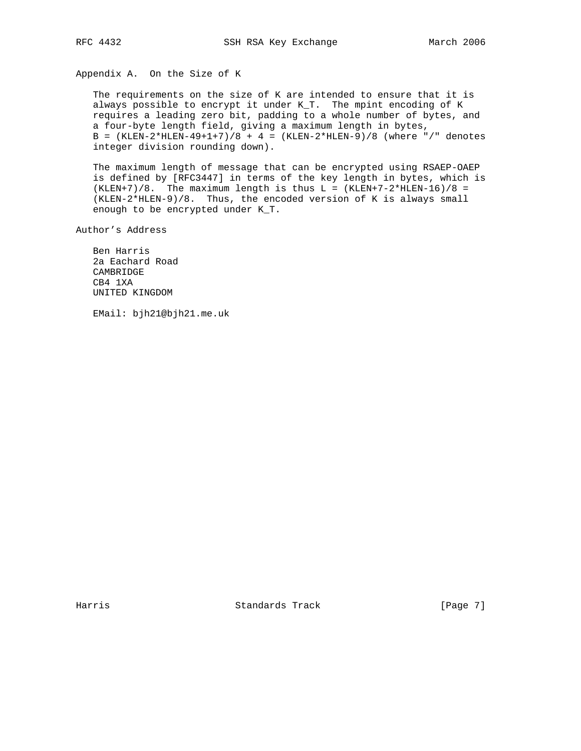Appendix A. On the Size of K

 The requirements on the size of K are intended to ensure that it is always possible to encrypt it under K\_T. The mpint encoding of K requires a leading zero bit, padding to a whole number of bytes, and a four-byte length field, giving a maximum length in bytes, B =  $(KLEN-2*HLEN-49+1+7)/8 + 4 = (KLEN-2*HLEN-9)/8$  (where "/" denotes integer division rounding down).

 The maximum length of message that can be encrypted using RSAEP-OAEP is defined by [RFC3447] in terms of the key length in bytes, which is  $(KLEN+7)/8$ . The maximum length is thus L =  $(KLEN+7-2*HLEN-16)/8$  = (KLEN-2\*HLEN-9)/8. Thus, the encoded version of K is always small enough to be encrypted under K\_T.

Author's Address

 Ben Harris 2a Eachard Road CAMBRIDGE CB4 1XA UNITED KINGDOM

EMail: bjh21@bjh21.me.uk

Harris Standards Track [Page 7]